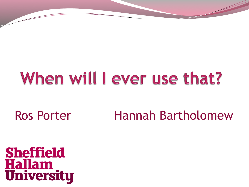## When will I ever use that?

Ros Porter Hannah Bartholomew

**Sheffield Hallam<br>University**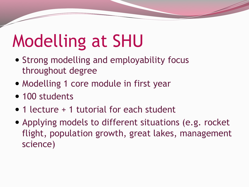# Modelling at SHU

- Strong modelling and employability focus throughout degree
- Modelling 1 core module in first year
- 100 students
- 1 lecture + 1 tutorial for each student
- Applying models to different situations (e.g. rocket flight, population growth, great lakes, management science)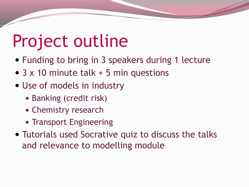# Project outline

- Funding to bring in 3 speakers during 1 lecture
- 3 x 10 minute talk + 5 min questions
- Use of models in industry
	- Banking (credit risk)
	- Chemistry research
	- Transport Engineering
- Tutorials used Socrative quiz to discuss the talks and relevance to modelling module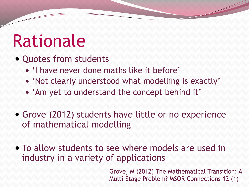# Rationale

- Quotes from students
	- 'I have never done maths like it before'
	- 'Not clearly understood what modelling is exactly'
	- 'Am yet to understand the concept behind it'
- Grove (2012) students have little or no experience of mathematical modelling
- To allow students to see where models are used in industry in a variety of applications

Grove, M (2012) The Mathematical Transition: A Multi-Stage Problem? MSOR Connections 12 (1)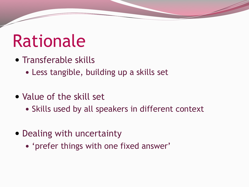# Rationale

- Transferable skills
	- Less tangible, building up a skills set
- Value of the skill set
	- Skills used by all speakers in different context
- Dealing with uncertainty
	- 'prefer things with one fixed answer'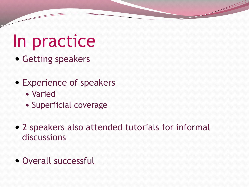# In practice

- Getting speakers
- Experience of speakers
	- Varied
	- Superficial coverage
- 2 speakers also attended tutorials for informal discussions
- Overall successful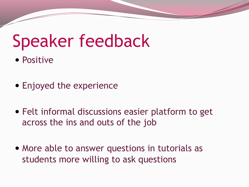# Speaker feedback

- Positive
- Enjoyed the experience
- Felt informal discussions easier platform to get across the ins and outs of the job
- More able to answer questions in tutorials as students more willing to ask questions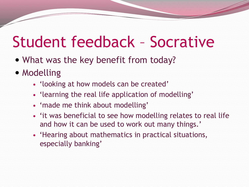### Student feedback – Socrative

- What was the key benefit from today?
- Modelling
	- 'looking at how models can be created'
	- 'learning the real life application of modelling'
	- 'made me think about modelling'
	- 'it was beneficial to see how modelling relates to real life and how it can be used to work out many things.'
	- 'Hearing about mathematics in practical situations, especially banking'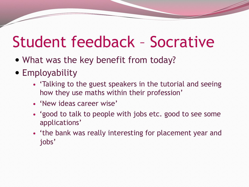### Student feedback – Socrative

- What was the key benefit from today?
- **Employability** 
	- 'Talking to the guest speakers in the tutorial and seeing how they use maths within their profession'
	- 'New ideas career wise'
	- 'good to talk to people with jobs etc. good to see some applications'
	- 'the bank was really interesting for placement year and jobs'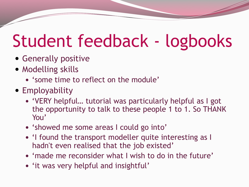# Student feedback - logbooks

- Generally positive
- Modelling skills
	- 'some time to reflect on the module'
- Employability
	- 'VERY helpful… tutorial was particularly helpful as I got the opportunity to talk to these people 1 to 1. So THANK You'
	- 'showed me some areas I could go into'
	- 'I found the transport modeller quite interesting as I hadn't even realised that the job existed'
	- 'made me reconsider what I wish to do in the future'
	- 'it was very helpful and insightful'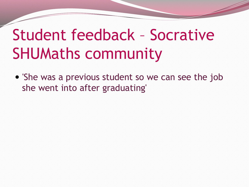### Student feedback – Socrative SHUMaths community

 'She was a previous student so we can see the job she went into after graduating'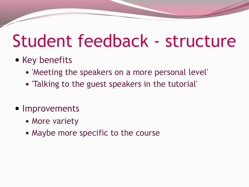### Student feedback - structure

#### • Key benefits

- 'Meeting the speakers on a more personal level'
- 'Talking to the guest speakers in the tutorial'
- Improvements
	- More variety
	- Maybe more specific to the course